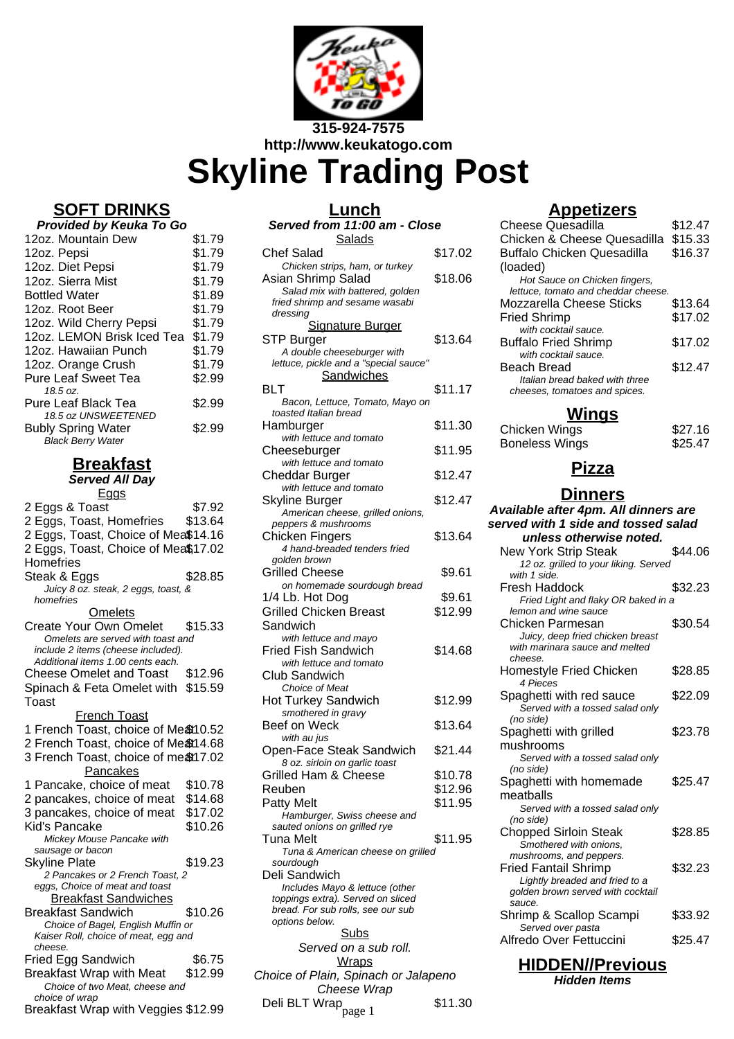

**http://www.keukatogo.com**

# **Skyline Trading Post**

## **SOFT DRINKS**

| <b>Provided by Keuka To Go</b>                                               |        |
|------------------------------------------------------------------------------|--------|
| 12oz. Mountain Dew                                                           | \$1.79 |
| 12oz. Pepsi                                                                  | \$1.79 |
| 12oz. Diet Pepsi                                                             | \$1.79 |
| 12oz. Sierra Mist                                                            | \$1.79 |
| <b>Bottled Water</b>                                                         | \$1.89 |
| 12oz. Root Beer                                                              | \$1.79 |
| 12oz. Wild Cherry Pepsi                                                      | \$1.79 |
| 12oz. LEMON Brisk Iced Tea                                                   | \$1.79 |
| 12oz. Hawaiian Punch                                                         | \$1.79 |
| 12oz. Orange Crush                                                           | \$1.79 |
| <b>Pure Leaf Sweet Tea</b>                                                   | \$2.99 |
| 18.5 oz.                                                                     |        |
| <b>Pure Leaf Black Tea</b>                                                   | \$2.99 |
| 18.5 oz UNSWEETENED<br><b>Bubly Spring Water</b><br><b>Black Berry Water</b> | \$2.99 |

#### **Breakfast**

**Served All Day Eggs** 

| <u>uuo</u>                                            |         |
|-------------------------------------------------------|---------|
| 2 Eggs & Toast                                        | \$7.92  |
| 2 Eggs, Toast, Homefries                              | \$13.64 |
| 2 Eggs, Toast, Choice of Mea\$14.16                   |         |
| 2 Eggs, Toast, Choice of Mea\$17.02                   |         |
| Homefries                                             |         |
| Steak & Eggs                                          | \$28.85 |
| Juicy 8 oz. steak, 2 eggs, toast, &                   |         |
| homefries                                             |         |
| <b>Omelets</b>                                        |         |
| <b>Create Your Own Omelet</b>                         | \$15.33 |
| Omelets are served with toast and                     |         |
| include 2 items (cheese included).                    |         |
| Additional items 1.00 cents each.                     |         |
| <b>Cheese Omelet and Toast</b>                        | \$12.96 |
| Spinach & Feta Omelet with \$15.59                    |         |
| Toast                                                 |         |
| <b>French Toast</b>                                   |         |
| 1 French Toast, choice of Me&10.52                    |         |
| 2 French Toast, choice of Me&14.68                    |         |
| 3 French Toast, choice of meat17.02                   |         |
| Pancakes                                              |         |
| 1 Pancake, choice of meat                             | \$10.78 |
| 2 pancakes, choice of meat                            | \$14.68 |
| 3 pancakes, choice of meat                            | \$17.02 |
| Kid's Pancake                                         | \$10.26 |
| Mickey Mouse Pancake with                             |         |
| sausage or bacon                                      |         |
| <b>Skyline Plate</b>                                  | \$19.23 |
| 2 Pancakes or 2 French Toast, 2                       |         |
| eggs, Choice of meat and toast                        |         |
| <u>Breakfast Sandwiches</u>                           |         |
| <b>Breakfast Sandwich</b>                             | \$10.26 |
| Choice of Bagel, English Muffin or                    |         |
| Kaiser Roll, choice of meat, egg and                  |         |
| cheese.                                               |         |
| Fried Egg Sandwich                                    | \$6.75  |
| <b>Breakfast Wrap with Meat</b>                       | \$12.99 |
| Choice of two Meat, cheese and                        |         |
| choice of wrap<br>Breakfast Wrap with Veggies \$12.99 |         |
|                                                       |         |
|                                                       |         |

| Lunch                                                                  |                    |
|------------------------------------------------------------------------|--------------------|
| Served from 11:00 am - Close                                           |                    |
| <b>Salads</b><br><b>Chef Salad</b>                                     | \$17.02            |
| Chicken strips, ham, or turkey                                         |                    |
| Asian Shrimp Salad<br>Salad mix with battered, golden                  | \$18.06            |
| fried shrimp and sesame wasabi                                         |                    |
| dressing<br><b>Signature Burger</b>                                    |                    |
| STP Burger                                                             | \$13.64            |
| A double cheeseburger with<br>lettuce, pickle and a "special sauce"    |                    |
| Sandwiches                                                             |                    |
| BLT                                                                    | \$11.17            |
| Bacon, Lettuce, Tomato, Mayo on<br>toasted Italian bread               |                    |
| Hamburger                                                              | \$11.30            |
| with lettuce and tomato<br>Cheeseburger                                | \$11.95            |
| with lettuce and tomato                                                |                    |
| Cheddar Burger<br>with lettuce and tomato                              | \$12.47            |
| Skyline Burger                                                         | \$12.47            |
| American cheese, grilled onions,                                       |                    |
| peppers & mushrooms<br>Chicken Fingers                                 | \$13.64            |
| 4 hand-breaded tenders fried                                           |                    |
| golden brown<br><b>Grilled Cheese</b>                                  | \$9.61             |
| on homemade sourdough bread                                            |                    |
| 1/4 Lb. Hot Dog<br><b>Grilled Chicken Breast</b>                       | \$9.61<br>\$12.99  |
| Sandwich                                                               |                    |
| with lettuce and mayo                                                  |                    |
| <b>Fried Fish Sandwich</b><br>with lettuce and tomato                  | \$14.68            |
| <b>Club Sandwich</b>                                                   |                    |
| Choice of Meat<br><b>Hot Turkey Sandwich</b>                           | \$12.99            |
| smothered in gravy                                                     |                    |
| <b>Beef on Weck</b>                                                    | \$13.64            |
| with au jus<br>Open-Face Steak Sandwich                                | \$21.44            |
| 8 oz. sirloin on garlic toast                                          |                    |
| <b>Grilled Ham &amp; Cheese</b><br>Reuben                              | \$10.78<br>\$12.96 |
| <b>Patty Melt</b>                                                      | \$11.95            |
| Hamburger, Swiss cheese and                                            |                    |
| sauted onions on grilled rye<br>Tuna Melt                              | \$11.95            |
| Tuna & American cheese on grilled                                      |                    |
| sourdough<br>Deli Sandwich                                             |                    |
| Includes Mayo & lettuce (other                                         |                    |
| toppings extra). Served on sliced<br>bread. For sub rolls, see our sub |                    |
| options below.                                                         |                    |
| <b>Subs</b><br>Served on a sub roll.                                   |                    |
| <b>Wraps</b>                                                           |                    |
| Choice of Plain, Spinach or Jalapeno                                   |                    |
| Cheese Wrap                                                            |                    |

Deli BLT Wrap <sub>page</sub> <sub>1</sub> \$11.30

#### **Appetizers**

| <b>Cheese Quesadilla</b>            | \$12.47 |
|-------------------------------------|---------|
| Chicken & Cheese Quesadilla         | \$15.33 |
| Buffalo Chicken Quesadilla          | \$16.37 |
| (loaded)                            |         |
| Hot Sauce on Chicken fingers,       |         |
| lettuce, tomato and cheddar cheese. |         |
| Mozzarella Cheese Sticks            | \$13.64 |
| Fried Shrimp                        | \$17.02 |
| with cocktail sauce.                |         |
| <b>Buffalo Fried Shrimp</b>         | \$17.02 |
| with cocktail sauce.                |         |
| Beach Bread                         | \$12.47 |
| Italian bread baked with three      |         |
| cheeses, tomatoes and spices.       |         |
|                                     |         |

### **Wings**

| Chicken Wings  | \$27.16 |
|----------------|---------|
| Boneless Wings | \$25.47 |

# **Pizza**

#### **Dinners**

| Available after 4pm. All dinners are                           |         |
|----------------------------------------------------------------|---------|
| served with 1 side and tossed salad<br>unless otherwise noted. |         |
| <b>New York Strip Steak</b>                                    | \$44.06 |
| 12 oz. grilled to your liking. Served                          |         |
| with 1 side.                                                   |         |
| Fresh Haddock                                                  | \$32.23 |
| Fried Light and flaky OR baked in a                            |         |
| lemon and wine sauce                                           |         |
| Chicken Parmesan                                               | \$30.54 |
| Juicy, deep fried chicken breast                               |         |
| with marinara sauce and melted                                 |         |
| cheese.                                                        | \$28.85 |
| Homestyle Fried Chicken<br>4 Pieces                            |         |
| Spaghetti with red sauce                                       | \$22.09 |
| Served with a tossed salad only                                |         |
| (no side)                                                      |         |
| Spaghetti with grilled                                         | \$23.78 |
| mushrooms                                                      |         |
| Served with a tossed salad only                                |         |
| (no side)                                                      |         |
| Spaghetti with homemade                                        | \$25.47 |
| meatballs                                                      |         |
| Served with a tossed salad only                                |         |
| (no side)                                                      |         |
| <b>Chopped Sirloin Steak</b>                                   | \$28.85 |
| Smothered with onions,<br>mushrooms, and peppers.              |         |
| <b>Fried Fantail Shrimp</b>                                    | \$32.23 |
| Lightly breaded and fried to a                                 |         |
| golden brown served with cocktail                              |         |
| sauce.                                                         |         |
| Shrimp & Scallop Scampi                                        | \$33.92 |
| Served over pasta                                              |         |
| Alfredo Over Fettuccini                                        | \$25.47 |

#### **HIDDEN//Previous**

**Hidden Items**